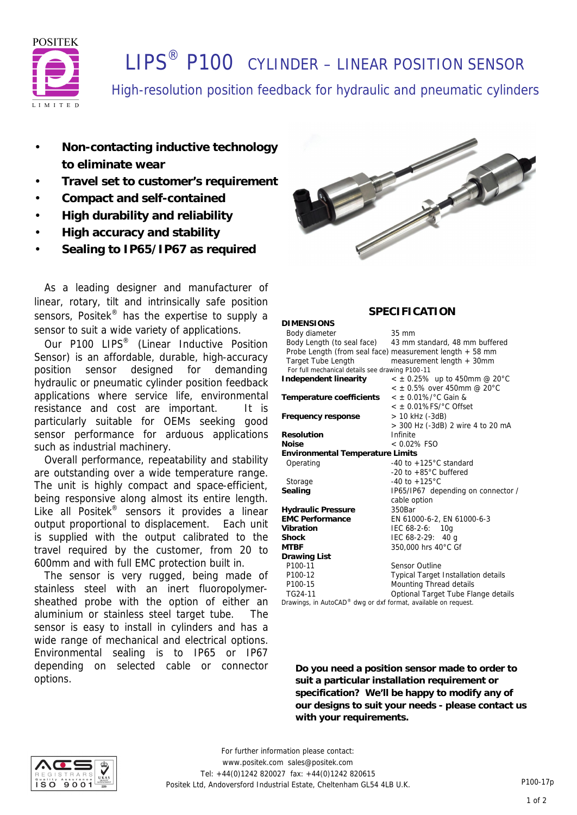

# **I IPS<sup>®</sup> P100** CYLINDER – LINEAR POSITION SENSOR

High-resolution position feedback for hydraulic and pneumatic cylinders

- **Non-contacting inductive technology to eliminate wear**
- **Travel set to customer's requirement**
- **Compact and self-contained**
- **High durability and reliability**
- **High accuracy and stability**
- **Sealing to IP65/IP67 as required**

 As a leading designer and manufacturer of linear, rotary, tilt and intrinsically safe position sensors, Positek<sup>®</sup> has the expertise to supply a sensor to suit a wide variety of applications.

Our P100 LIPS<sup>®</sup> (Linear Inductive Position Sensor) is an affordable, durable, high-accuracy position sensor designed for demanding hydraulic or pneumatic cylinder position feedback applications where service life, environmental resistance and cost are important. It is particularly suitable for OEMs seeking good sensor performance for arduous applications such as industrial machinery.

 Overall performance, repeatability and stability are outstanding over a wide temperature range. The unit is highly compact and space-efficient, being responsive along almost its entire length. Like all Positek® sensors it provides a linear output proportional to displacement. Each unit is supplied with the output calibrated to the travel required by the customer, from 20 to 600mm and with full EMC protection built in.

 The sensor is very rugged, being made of stainless steel with an inert fluoropolymersheathed probe with the option of either an aluminium or stainless steel target tube. The sensor is easy to install in cylinders and has a wide range of mechanical and electrical options. Environmental sealing is to IP65 or IP67 depending on selected cable or connector options.



## **SPECIFICATION**

| DIMENSIONS                                                     |                                                          |  |  |  |
|----------------------------------------------------------------|----------------------------------------------------------|--|--|--|
| Body diameter                                                  | 35 mm                                                    |  |  |  |
| Body Length (to seal face)                                     | 43 mm standard, 48 mm buffered                           |  |  |  |
|                                                                | Probe Length (from seal face) measurement length + 58 mm |  |  |  |
| <b>Target Tube Length</b>                                      | measurement length + 30mm                                |  |  |  |
| For full mechanical details see drawing P100-11                |                                                          |  |  |  |
| Independent linearity                                          | $\epsilon \pm 0.25\%$ up to 450mm @ 20°C                 |  |  |  |
|                                                                | $<$ $\pm$ 0.5% over 450mm @ 20°C                         |  |  |  |
| Temperature coefficients                                       | $<$ ± 0.01%/°C Gain &                                    |  |  |  |
|                                                                | $<$ $\pm$ 0.01%FS/°C Offset                              |  |  |  |
| Frequency response                                             | > 10 kHz (-3dB)                                          |  |  |  |
|                                                                | > 300 Hz (-3dB) 2 wire 4 to 20 mA                        |  |  |  |
| Resolution                                                     | Infinite                                                 |  |  |  |
| Noise                                                          | $< 0.02\%$ FSO                                           |  |  |  |
| Environmental Temperature Limits                               |                                                          |  |  |  |
| Operating                                                      | -40 to $+125^{\circ}$ C standard                         |  |  |  |
|                                                                | -20 to $+85^{\circ}$ C buffered                          |  |  |  |
| Storage                                                        | $-40$ to $+125^{\circ}$ C                                |  |  |  |
| Sealing                                                        | IP65/IP67 depending on connector /                       |  |  |  |
|                                                                | cable option                                             |  |  |  |
| <b>Hydraulic Pressure</b>                                      | 350Bar                                                   |  |  |  |
| <b>EMC Performance</b>                                         | EN 61000-6-2, EN 61000-6-3                               |  |  |  |
| Vibration                                                      | IEC 68-2-6: 10g                                          |  |  |  |
| Shock                                                          | IEC $68-2-29$ : 40 g                                     |  |  |  |
| MTBF                                                           | 350,000 hrs 40°C Gf                                      |  |  |  |
| Drawing List                                                   |                                                          |  |  |  |
| P100-11                                                        | <b>Sensor Outline</b>                                    |  |  |  |
| P100-12                                                        | <b>Typical Target Installation details</b>               |  |  |  |
| P100-15                                                        | Mounting Thread details                                  |  |  |  |
| TG24-11                                                        | Optional Target Tube Flange details                      |  |  |  |
| Drawings, in AutoCAD® dwg or dxf format, available on request. |                                                          |  |  |  |
|                                                                |                                                          |  |  |  |

**Do you need a position sensor made to order to suit a particular installation requirement or specification? We'll be happy to modify any of our designs to suit your needs - please contact us with your requirements.**